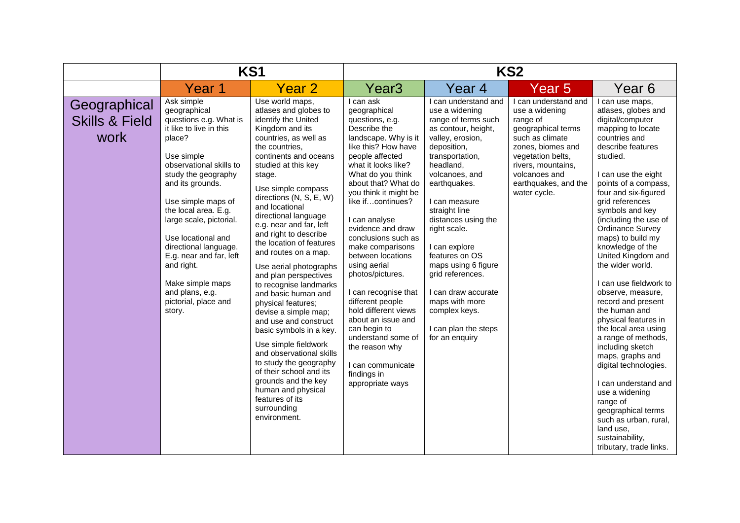|                                                   | KS1                                                                                                                                                                                                                                                                                                                                                                                                                     |                                                                                                                                                                                                                                                                                                                                                                                                                                                                                                                                                                                                                                                                                                                                                                                                          | KS <sub>2</sub>                                                                                                                                                                                                                                                                                                                                                                                                                                                                                                                                                                                     |                                                                                                                                                                                                                                                                                                                                                                                                                                                      |                                                                                                                                                                                                                      |                                                                                                                                                                                                                                                                                                                                                                                                                                                                                                                                                                                                                                                                                                                                                                                     |  |
|---------------------------------------------------|-------------------------------------------------------------------------------------------------------------------------------------------------------------------------------------------------------------------------------------------------------------------------------------------------------------------------------------------------------------------------------------------------------------------------|----------------------------------------------------------------------------------------------------------------------------------------------------------------------------------------------------------------------------------------------------------------------------------------------------------------------------------------------------------------------------------------------------------------------------------------------------------------------------------------------------------------------------------------------------------------------------------------------------------------------------------------------------------------------------------------------------------------------------------------------------------------------------------------------------------|-----------------------------------------------------------------------------------------------------------------------------------------------------------------------------------------------------------------------------------------------------------------------------------------------------------------------------------------------------------------------------------------------------------------------------------------------------------------------------------------------------------------------------------------------------------------------------------------------------|------------------------------------------------------------------------------------------------------------------------------------------------------------------------------------------------------------------------------------------------------------------------------------------------------------------------------------------------------------------------------------------------------------------------------------------------------|----------------------------------------------------------------------------------------------------------------------------------------------------------------------------------------------------------------------|-------------------------------------------------------------------------------------------------------------------------------------------------------------------------------------------------------------------------------------------------------------------------------------------------------------------------------------------------------------------------------------------------------------------------------------------------------------------------------------------------------------------------------------------------------------------------------------------------------------------------------------------------------------------------------------------------------------------------------------------------------------------------------------|--|
|                                                   | Year 1                                                                                                                                                                                                                                                                                                                                                                                                                  | Year 2                                                                                                                                                                                                                                                                                                                                                                                                                                                                                                                                                                                                                                                                                                                                                                                                   | Year <sub>3</sub>                                                                                                                                                                                                                                                                                                                                                                                                                                                                                                                                                                                   | Year 4                                                                                                                                                                                                                                                                                                                                                                                                                                               | Year 5                                                                                                                                                                                                               | Year 6                                                                                                                                                                                                                                                                                                                                                                                                                                                                                                                                                                                                                                                                                                                                                                              |  |
| Geographical<br><b>Skills &amp; Field</b><br>work | Ask simple<br>geographical<br>questions e.g. What is<br>it like to live in this<br>place?<br>Use simple<br>observational skills to<br>study the geography<br>and its grounds.<br>Use simple maps of<br>the local area. E.g.<br>large scale, pictorial.<br>Use locational and<br>directional language.<br>E.g. near and far, left<br>and right.<br>Make simple maps<br>and plans, e.g.<br>pictorial, place and<br>story. | Use world maps,<br>atlases and globes to<br>identify the United<br>Kingdom and its<br>countries, as well as<br>the countries.<br>continents and oceans<br>studied at this key<br>stage.<br>Use simple compass<br>directions (N, S, E, W)<br>and locational<br>directional language<br>e.g. near and far, left<br>and right to describe<br>the location of features<br>and routes on a map.<br>Use aerial photographs<br>and plan perspectives<br>to recognise landmarks<br>and basic human and<br>physical features;<br>devise a simple map;<br>and use and construct<br>basic symbols in a key.<br>Use simple fieldwork<br>and observational skills<br>to study the geography<br>of their school and its<br>grounds and the key<br>human and physical<br>features of its<br>surrounding<br>environment. | I can ask<br>geographical<br>questions, e.g.<br>Describe the<br>landscape. Why is it<br>like this? How have<br>people affected<br>what it looks like?<br>What do you think<br>about that? What do<br>you think it might be<br>like ifcontinues?<br>I can analyse<br>evidence and draw<br>conclusions such as<br>make comparisons<br>between locations<br>using aerial<br>photos/pictures.<br>I can recognise that<br>different people<br>hold different views<br>about an issue and<br>can begin to<br>understand some of<br>the reason why<br>I can communicate<br>findings in<br>appropriate ways | I can understand and<br>use a widening<br>range of terms such<br>as contour, height,<br>valley, erosion,<br>deposition,<br>transportation,<br>headland,<br>volcanoes, and<br>earthquakes.<br>I can measure<br>straight line<br>distances using the<br>right scale.<br>I can explore<br>features on OS<br>maps using 6 figure<br>grid references.<br>I can draw accurate<br>maps with more<br>complex keys.<br>I can plan the steps<br>for an enquiry | I can understand and<br>use a widening<br>range of<br>geographical terms<br>such as climate<br>zones, biomes and<br>vegetation belts,<br>rivers, mountains,<br>volcanoes and<br>earthquakes, and the<br>water cycle. | I can use maps,<br>atlases, globes and<br>digital/computer<br>mapping to locate<br>countries and<br>describe features<br>studied.<br>I can use the eight<br>points of a compass,<br>four and six-figured<br>grid references<br>symbols and key<br>(including the use of<br><b>Ordinance Survey</b><br>maps) to build my<br>knowledge of the<br>United Kingdom and<br>the wider world.<br>I can use fieldwork to<br>observe, measure,<br>record and present<br>the human and<br>physical features in<br>the local area using<br>a range of methods,<br>including sketch<br>maps, graphs and<br>digital technologies.<br>I can understand and<br>use a widening<br>range of<br>geographical terms<br>such as urban, rural,<br>land use.<br>sustainability,<br>tributary, trade links. |  |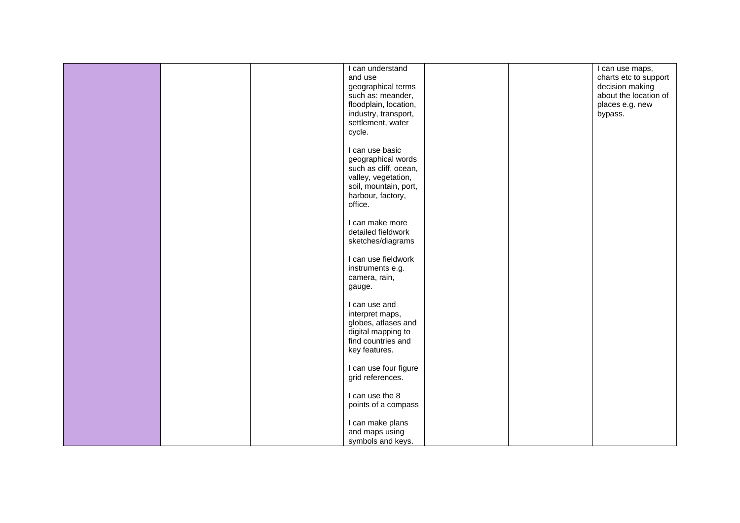|  | I can understand<br>and use<br>geographical terms                                                                                              |  | I can use maps,<br>charts etc to support<br>decision making |
|--|------------------------------------------------------------------------------------------------------------------------------------------------|--|-------------------------------------------------------------|
|  | such as: meander,<br>floodplain, location,<br>industry, transport,<br>settlement, water<br>cycle.                                              |  | about the location of<br>places e.g. new<br>bypass.         |
|  | I can use basic<br>geographical words<br>such as cliff, ocean,<br>valley, vegetation,<br>soil, mountain, port,<br>harbour, factory,<br>office. |  |                                                             |
|  | I can make more<br>detailed fieldwork<br>sketches/diagrams                                                                                     |  |                                                             |
|  | I can use fieldwork<br>instruments e.g.<br>camera, rain,<br>gauge.                                                                             |  |                                                             |
|  | I can use and<br>interpret maps,<br>globes, atlases and<br>digital mapping to<br>find countries and<br>key features.                           |  |                                                             |
|  | I can use four figure<br>grid references.                                                                                                      |  |                                                             |
|  | I can use the 8<br>points of a compass                                                                                                         |  |                                                             |
|  | I can make plans<br>and maps using<br>symbols and keys.                                                                                        |  |                                                             |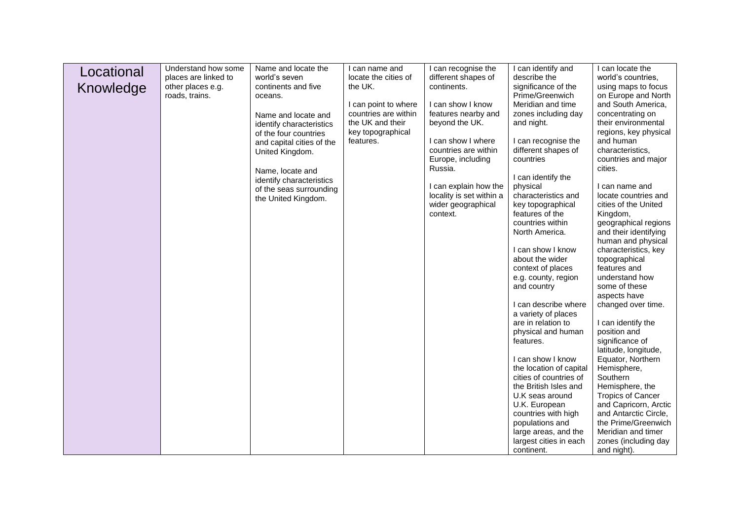| Locational | Understand how some                       | Name and locate the                          | I can name and                  | I can recognise the                | I can identify and                              | I can locate the                            |
|------------|-------------------------------------------|----------------------------------------------|---------------------------------|------------------------------------|-------------------------------------------------|---------------------------------------------|
|            | places are linked to<br>other places e.g. | world's seven<br>continents and five         | locate the cities of<br>the UK. | different shapes of<br>continents. | describe the<br>significance of the             | world's countries,<br>using maps to focus   |
| Knowledge  | roads, trains.                            | oceans.                                      |                                 |                                    | Prime/Greenwich                                 | on Europe and North                         |
|            |                                           |                                              | I can point to where            | I can show I know                  | Meridian and time                               | and South America.                          |
|            |                                           | Name and locate and                          | countries are within            | features nearby and                | zones including day                             | concentrating on                            |
|            |                                           | identify characteristics                     | the UK and their                | beyond the UK.                     | and night.                                      | their environmental                         |
|            |                                           | of the four countries                        | key topographical<br>features.  | I can show I where                 | I can recognise the                             | regions, key physical<br>and human          |
|            |                                           | and capital cities of the<br>United Kingdom. |                                 | countries are within               | different shapes of                             | characteristics,                            |
|            |                                           |                                              |                                 | Europe, including                  | countries                                       | countries and major                         |
|            |                                           | Name, locate and                             |                                 | Russia.                            |                                                 | cities.                                     |
|            |                                           | identify characteristics                     |                                 | I can explain how the              | I can identify the                              | I can name and                              |
|            |                                           | of the seas surrounding                      |                                 | locality is set within a           | physical<br>characteristics and                 | locate countries and                        |
|            |                                           | the United Kingdom.                          |                                 | wider geographical                 | key topographical                               | cities of the United                        |
|            |                                           |                                              |                                 | context.                           | features of the                                 | Kingdom,                                    |
|            |                                           |                                              |                                 |                                    | countries within                                | geographical regions                        |
|            |                                           |                                              |                                 |                                    | North America.                                  | and their identifying<br>human and physical |
|            |                                           |                                              |                                 |                                    | I can show I know                               | characteristics, key                        |
|            |                                           |                                              |                                 |                                    | about the wider                                 | topographical                               |
|            |                                           |                                              |                                 |                                    | context of places                               | features and                                |
|            |                                           |                                              |                                 |                                    | e.g. county, region<br>and country              | understand how<br>some of these             |
|            |                                           |                                              |                                 |                                    |                                                 | aspects have                                |
|            |                                           |                                              |                                 |                                    | I can describe where                            | changed over time.                          |
|            |                                           |                                              |                                 |                                    | a variety of places                             |                                             |
|            |                                           |                                              |                                 |                                    | are in relation to<br>physical and human        | I can identify the<br>position and          |
|            |                                           |                                              |                                 |                                    | features.                                       | significance of                             |
|            |                                           |                                              |                                 |                                    |                                                 | latitude, longitude,                        |
|            |                                           |                                              |                                 |                                    | I can show I know                               | Equator, Northern                           |
|            |                                           |                                              |                                 |                                    | the location of capital                         | Hemisphere,                                 |
|            |                                           |                                              |                                 |                                    | cities of countries of<br>the British Isles and | Southern<br>Hemisphere, the                 |
|            |                                           |                                              |                                 |                                    | U.K seas around                                 | <b>Tropics of Cancer</b>                    |
|            |                                           |                                              |                                 |                                    | U.K. European                                   | and Capricorn, Arctic                       |
|            |                                           |                                              |                                 |                                    | countries with high                             | and Antarctic Circle,                       |
|            |                                           |                                              |                                 |                                    | populations and                                 | the Prime/Greenwich<br>Meridian and timer   |
|            |                                           |                                              |                                 |                                    | large areas, and the<br>largest cities in each  | zones (including day                        |
|            |                                           |                                              |                                 |                                    | continent.                                      | and night).                                 |